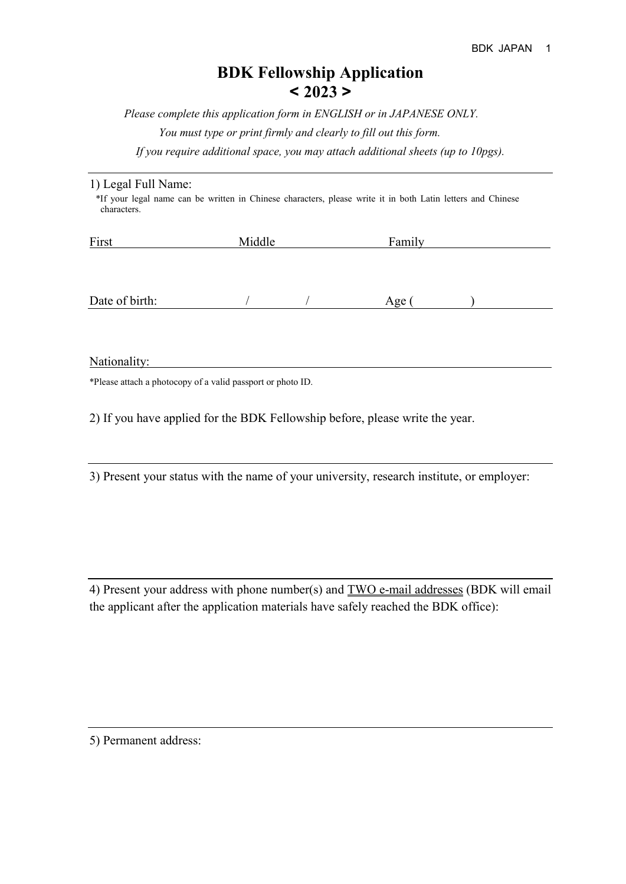## **BDK Fellowship Application < 2023 >**

*Please complete this application form in ENGLISH or in JAPANESE ONLY. You must type or print firmly and clearly to fill out this form. If you require additional space, you may attach additional sheets (up to 10pgs).*

| 1) Legal Full Name:                                                                                                        |  |
|----------------------------------------------------------------------------------------------------------------------------|--|
| *If your legal name can be written in Chinese characters, please write it in both Latin letters and Chinese<br>characters. |  |
|                                                                                                                            |  |

| First          | Middle | Family |  |
|----------------|--------|--------|--|
|                |        |        |  |
|                |        |        |  |
|                |        |        |  |
| Date of birth: |        | Age (  |  |

Nationality:

\*Please attach a photocopy of a valid passport or photo ID.

2) If you have applied for the BDK Fellowship before, please write the year.

3) Present your status with the name of your university, research institute, or employer:

4) Present your address with phone number(s) and **TWO e-mail addresses** (BDK will email the applicant after the application materials have safely reached the BDK office):

5) Permanent address: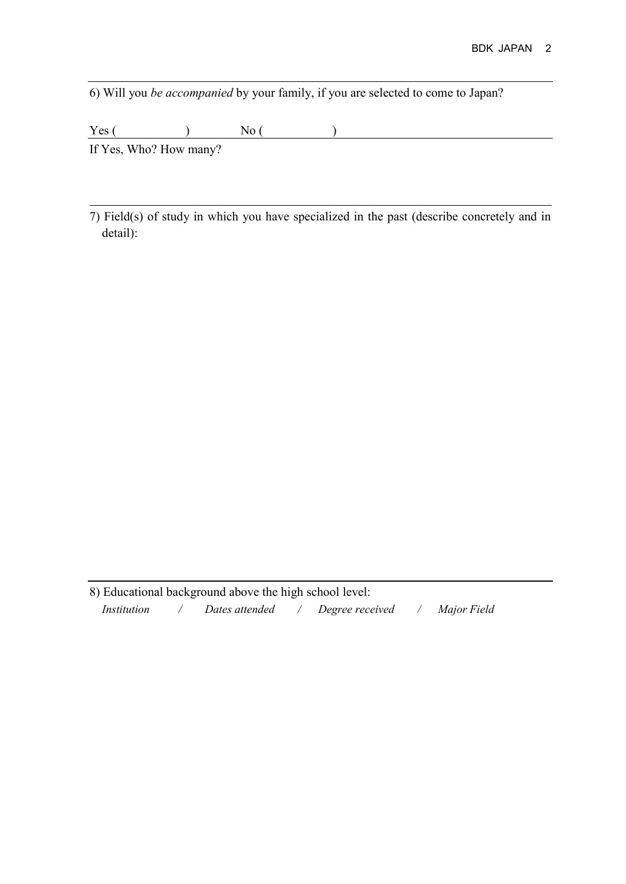6) Will you *be accompanied* by your family, if you are selected to come to Japan?

 $Yes($  )  $No($  )

If Yes, Who? How many?

 $\overline{a}$ 

7) Field(s) of study in which you have specialized in the past (describe concretely and in detail):

8) Educational background above the high school level:  *Institution / Dates attended / Degree received / Major Field*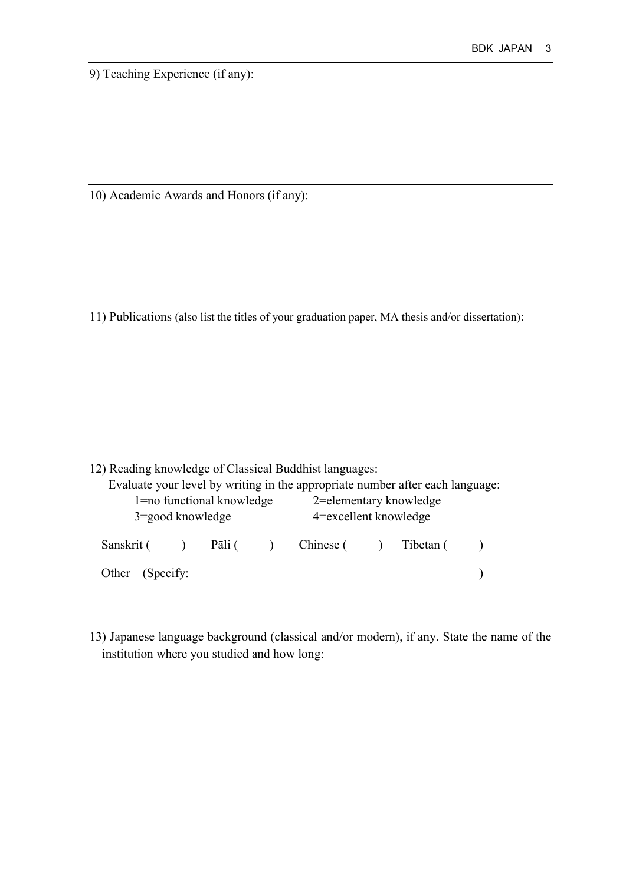9) Teaching Experience (if any):

10) Academic Awards and Honors (if any):

11) Publications (also list the titles of your graduation paper, MA thesis and/or dissertation):

| 12) Reading knowledge of Classical Buddhist languages: |                           | Evaluate your level by writing in the appropriate number after each language: |  |  |
|--------------------------------------------------------|---------------------------|-------------------------------------------------------------------------------|--|--|
|                                                        | 1=no functional knowledge | 2=elementary knowledge                                                        |  |  |
| $3 = \text{good knowledge}$                            |                           | 4=excellent knowledge                                                         |  |  |
|                                                        |                           | Sanskrit () Pāli () Chinese () Tibetan ()                                     |  |  |
| Other (Specify:                                        |                           |                                                                               |  |  |

13) Japanese language background (classical and/or modern), if any. State the name of the institution where you studied and how long: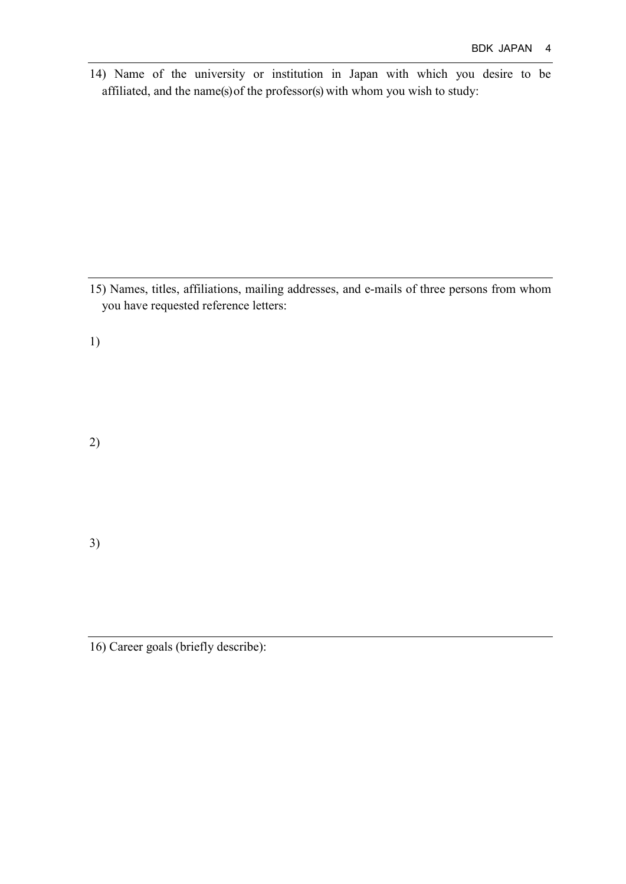14) Name of the university or institution in Japan with which you desire to be affiliated, and the name(s) of the professor(s) with whom you wish to study:

15) Names, titles, affiliations, mailing addresses, and e-mails of three persons from whom you have requested reference letters:

1)

2)

3)

16) Career goals (briefly describe):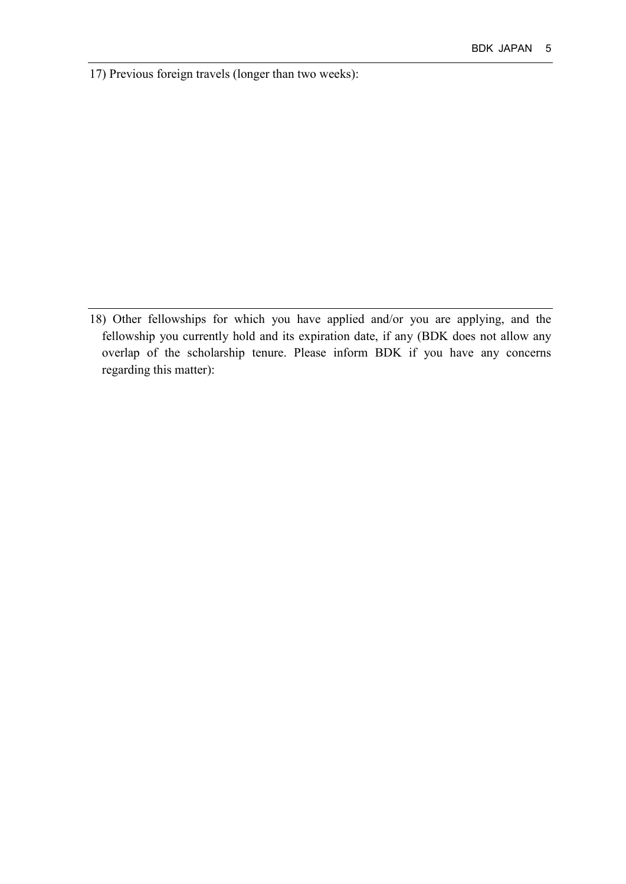17) Previous foreign travels (longer than two weeks):

18) Other fellowships for which you have applied and/or you are applying, and the fellowship you currently hold and its expiration date, if any (BDK does not allow any overlap of the scholarship tenure. Please inform BDK if you have any concerns regarding this matter):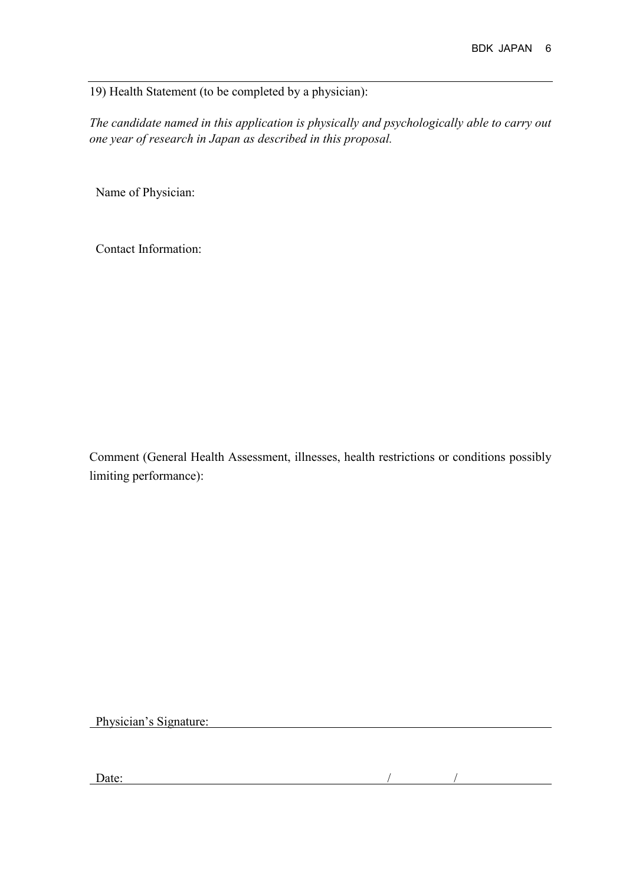19) Health Statement (to be completed by a physician):

*The candidate named in this application is physically and psychologically able to carry out one year of research in Japan as described in this proposal.*

Name of Physician:

Contact Information:

Comment (General Health Assessment, illnesses, health restrictions or conditions possibly limiting performance):

Physician's Signature: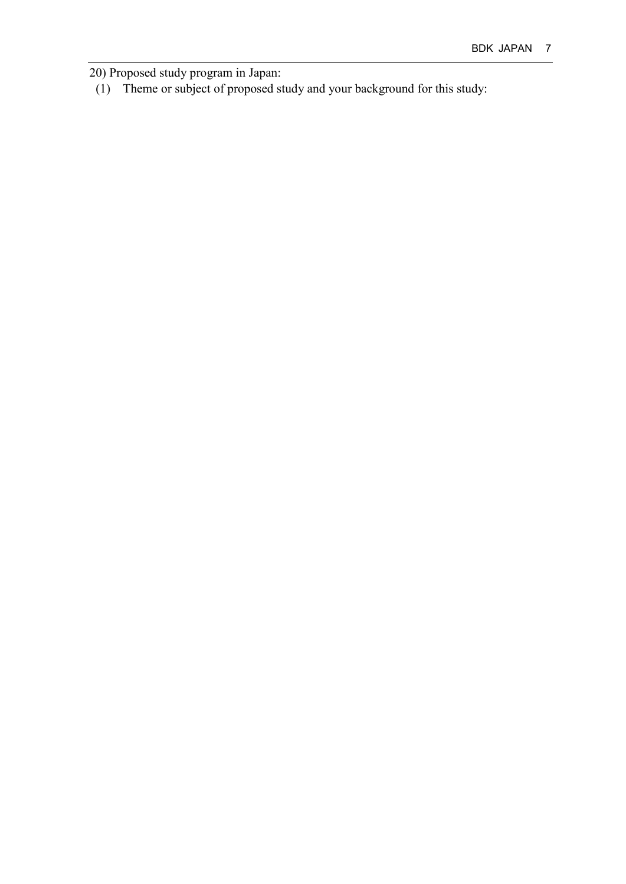20) Proposed study program in Japan:

(1) Theme or subject of proposed study and your background for this study: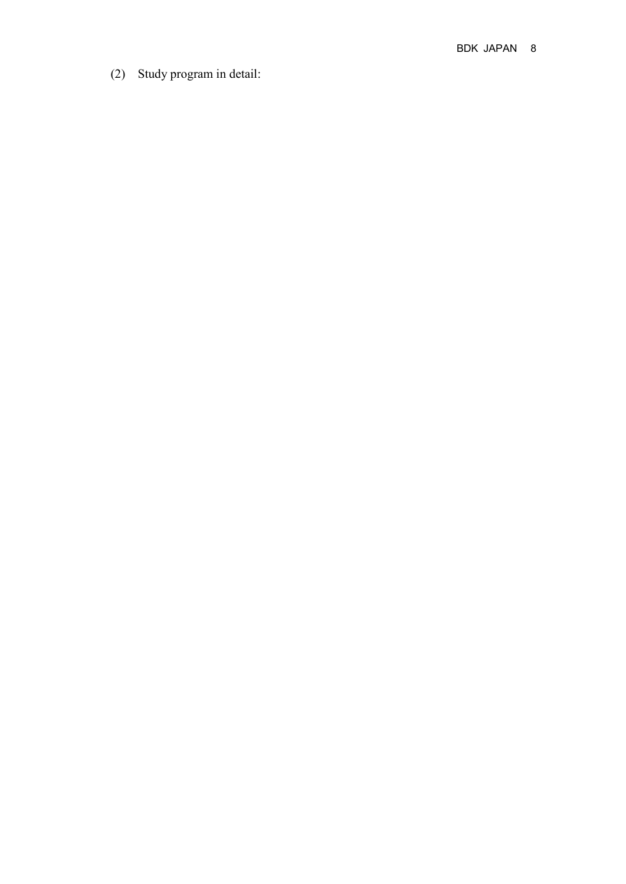(2) Study program in detail :